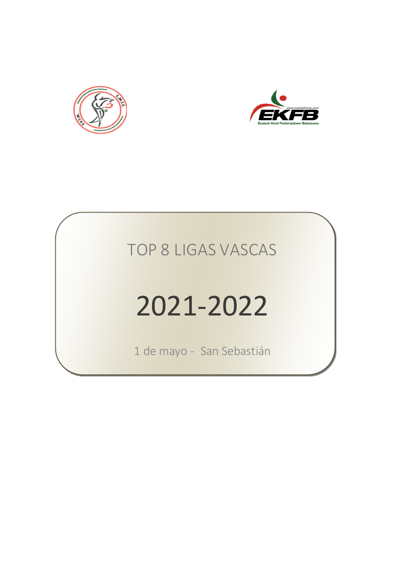



# 2021-2022

1 de mayo - San Sebastián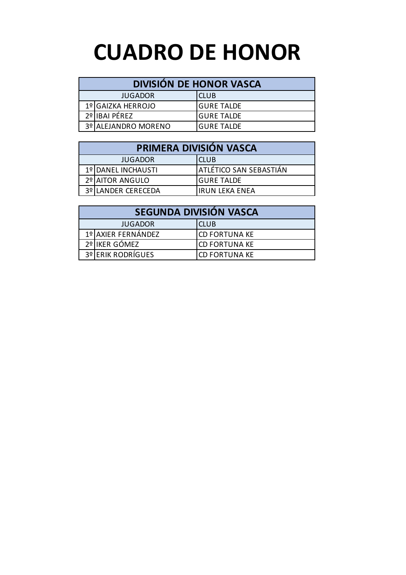## **CUADRO DE HONOR**

#### **DIVISIÓN DE HONOR VASCA**

| <b>JUGADOR</b>      | ICLUB       |
|---------------------|-------------|
| 1º GAIZKA HERROJO   | IGURE TALDE |
| 2º IIBAI PEREZ      | IGURE TALDE |
| 3º ALEJANDRO MORENO | IGURE TALDE |

| PRIMERA DIVISIÓN VASCA |                               |  |  |  |  |  |  |  |
|------------------------|-------------------------------|--|--|--|--|--|--|--|
| <b>JUGADOR</b>         | <b>CLUB</b>                   |  |  |  |  |  |  |  |
| 1º DANEL INCHAUSTI     | <b>ATLÉTICO SAN SEBASTIÁN</b> |  |  |  |  |  |  |  |
| 2º AITOR ANGULO        | <b>GURE TALDE</b>             |  |  |  |  |  |  |  |
| 3º LANDER CERECEDA     | <b>IRUN LEKA ENEA</b>         |  |  |  |  |  |  |  |

|                               | SEGUNDA DIVISIÓN VASCA |                      |  |  |  |  |  |  |
|-------------------------------|------------------------|----------------------|--|--|--|--|--|--|
| <b>CLUB</b><br><b>JUGADOR</b> |                        |                      |  |  |  |  |  |  |
|                               | 1º AXIER FERNÁNDEZ     | <b>CD FORTUNA KE</b> |  |  |  |  |  |  |
|                               | 2º IKER GÓMEZ          | <b>CD FORTUNA KE</b> |  |  |  |  |  |  |
|                               | 3º ERIK RODRÍGUES      | <b>CD FORTUNA KE</b> |  |  |  |  |  |  |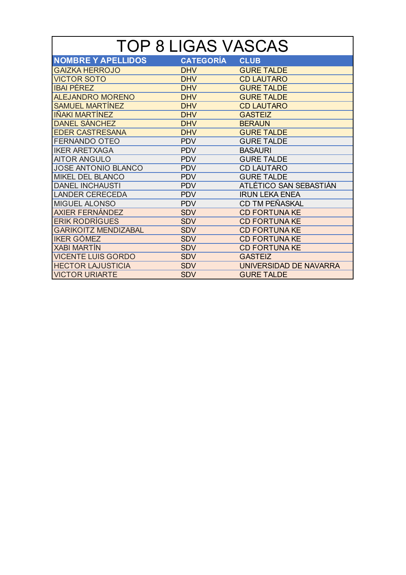| <b>NOMBRE Y APELLIDOS</b>   | <b>CATEGORÍA</b> | <b>CLUB</b>            |
|-----------------------------|------------------|------------------------|
| <b>GAIZKA HERROJO</b>       | <b>DHV</b>       | <b>GURE TALDE</b>      |
| <b>VICTOR SOTO</b>          | <b>DHV</b>       | <b>CD LAUTARO</b>      |
| <b>IBAI PÉREZ</b>           | <b>DHV</b>       | <b>GURE TALDE</b>      |
| <b>ALEJANDRO MORENO</b>     | <b>DHV</b>       | <b>GURE TALDE</b>      |
| <b>SAMUEL MARTÍNEZ</b>      | <b>DHV</b>       | <b>CD LAUTARO</b>      |
| IÑAKI MARTÍNEZ              | <b>DHV</b>       | <b>GASTEIZ</b>         |
| <b>DANEL SÁNCHEZ</b>        | <b>DHV</b>       | <b>BERAUN</b>          |
| <b>EDER CASTRESANA</b>      | <b>DHV</b>       | <b>GURE TALDE</b>      |
| <b>FERNANDO OTEO</b>        | <b>PDV</b>       | <b>GURE TALDE</b>      |
| <b>IKER ARETXAGA</b>        | <b>PDV</b>       | <b>BASAURI</b>         |
| <b>AITOR ANGULO</b>         | <b>PDV</b>       | <b>GURE TALDE</b>      |
| <b>JOSE ANTONIO BLANCO</b>  | <b>PDV</b>       | <b>CD LAUTARO</b>      |
| <b>MIKEL DEL BLANCO</b>     | <b>PDV</b>       | <b>GURE TALDE</b>      |
| <b>DANEL INCHAUSTI</b>      | <b>PDV</b>       | ATLÉTICO SAN SEBASTIÁN |
| <b>LANDER CERECEDA</b>      | <b>PDV</b>       | <b>IRUN LEKA ENEA</b>  |
| <b>MIGUEL ALONSO</b>        | <b>PDV</b>       | CD TM PEÑASKAL         |
| <b>AXIER FERNÁNDEZ</b>      | <b>SDV</b>       | <b>CD FORTUNA KE</b>   |
| <b>ERIK RODRÍGUES</b>       | <b>SDV</b>       | <b>CD FORTUNA KE</b>   |
| <b>GARIKOITZ MENDIZABAL</b> | <b>SDV</b>       | <b>CD FORTUNA KE</b>   |
| <b>IKER GÓMEZ</b>           | <b>SDV</b>       | <b>CD FORTUNA KE</b>   |
| <b>XABI MARTÍN</b>          | <b>SDV</b>       | <b>CD FORTUNA KE</b>   |
| <b>VICENTE LUIS GORDO</b>   | <b>SDV</b>       | <b>GASTEIZ</b>         |
| <b>HECTOR LAJUSTICIA</b>    | <b>SDV</b>       | UNIVERSIDAD DE NAVARRA |
| <b>VICTOR URIARTE</b>       | <b>SDV</b>       | <b>GURE TALDE</b>      |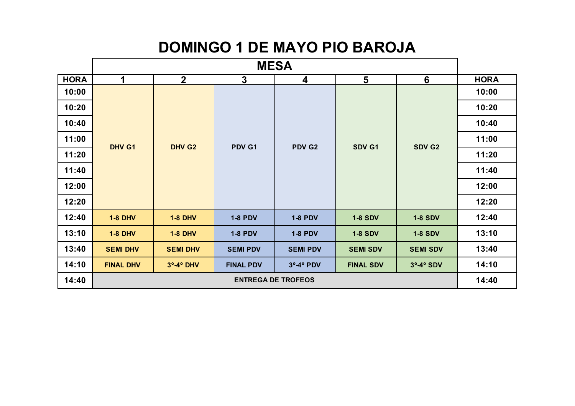### **DOMINGO 1 DE MAYO PIO BAROJA**

|             | <b>MESA</b>                                                                  |                    |                           |                 |                  |                 |       |       |  |  |  |
|-------------|------------------------------------------------------------------------------|--------------------|---------------------------|-----------------|------------------|-----------------|-------|-------|--|--|--|
| <b>HORA</b> | $6\phantom{1}$<br>2 <sup>1</sup><br>$\mathbf{3}$<br>$5\phantom{1}$<br>1<br>4 |                    |                           |                 |                  |                 |       |       |  |  |  |
| 10:00       |                                                                              |                    |                           |                 |                  |                 | 10:00 |       |  |  |  |
| 10:20       |                                                                              |                    |                           |                 |                  |                 | 10:20 |       |  |  |  |
| 10:40       |                                                                              |                    |                           |                 |                  |                 | 10:40 |       |  |  |  |
| 11:00       |                                                                              | DHV G <sub>2</sub> |                           |                 | SDV G2           | 11:00           |       |       |  |  |  |
| 11:20       | DHV G1                                                                       |                    |                           | PDV G1          | PDV G2           | SDV G1          |       | 11:20 |  |  |  |
| 11:40       |                                                                              |                    |                           |                 |                  |                 | 11:40 |       |  |  |  |
| 12:00       |                                                                              |                    |                           |                 |                  |                 | 12:00 |       |  |  |  |
| 12:20       |                                                                              |                    |                           |                 |                  |                 | 12:20 |       |  |  |  |
| 12:40       | <b>1-8 DHV</b>                                                               | <b>1-8 DHV</b>     | <b>1-8 PDV</b>            | <b>1-8 PDV</b>  | <b>1-8 SDV</b>   | <b>1-8 SDV</b>  | 12:40 |       |  |  |  |
| 13:10       | <b>1-8 DHV</b>                                                               | <b>1-8 DHV</b>     | <b>1-8 PDV</b>            | <b>1-8 PDV</b>  | <b>1-8 SDV</b>   | <b>1-8 SDV</b>  | 13:10 |       |  |  |  |
| 13:40       | <b>SEMI DHV</b>                                                              | <b>SEMI DHV</b>    | <b>SEMI PDV</b>           | <b>SEMI PDV</b> | <b>SEMI SDV</b>  | <b>SEMI SDV</b> | 13:40 |       |  |  |  |
| 14:10       | <b>FINAL DHV</b>                                                             | $3°-4°$ DHV        | <b>FINAL PDV</b>          | 3°-4° PDV       | <b>FINAL SDV</b> | $3°-4°$ SDV     | 14:10 |       |  |  |  |
| 14:40       |                                                                              |                    | <b>ENTREGA DE TROFEOS</b> |                 |                  |                 | 14:40 |       |  |  |  |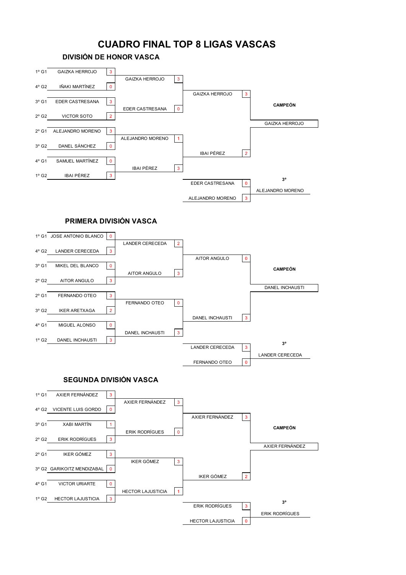#### **CUADRO FINAL TOP 8 LIGAS VASCAS**

**DIVISIÓN DE HONOR VASCA**

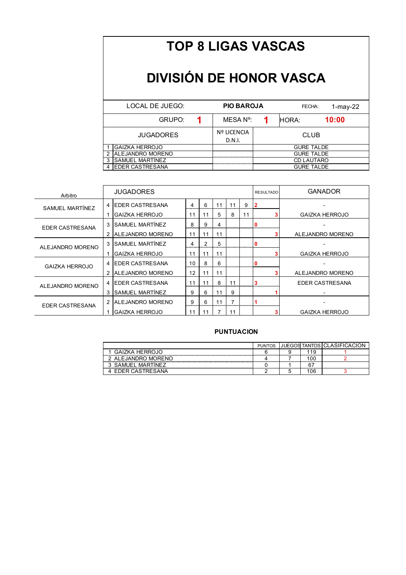### **DIVISIÓN DE HONOR VASCA**

| LOCAL DE JUEGO:         | <b>PIO BAROJA</b>            |                   | $1$ -may-22<br>FECHA: |       |  |  |
|-------------------------|------------------------------|-------------------|-----------------------|-------|--|--|
| GRUPO:                  | MESA N°:                     |                   | HORA:                 | 10:00 |  |  |
| <b>JUGADORES</b>        | <b>Nº LICENCIA</b><br>D.N.I. | <b>CLUB</b>       |                       |       |  |  |
| <b>GAIZKA HERROJO</b>   |                              |                   | <b>GURE TALDE</b>     |       |  |  |
| <b>ALEJANDRO MORENO</b> |                              | <b>GURE TALDE</b> |                       |       |  |  |
| SAMUEL MARTINEZ         |                              | <b>CD LAUTARO</b> |                       |       |  |  |
| <b>IEDER CASTRESANA</b> |                              |                   | <b>GURE TALDE</b>     |       |  |  |

| Arbitro          |   | <b>JUGADORES</b>        |    |    |    |    |    | <b>RESULTADO</b> | <b>GANADOR</b>        |
|------------------|---|-------------------------|----|----|----|----|----|------------------|-----------------------|
| SAMUEL MARTÍNEZ  | 4 | <b>EDER CASTRESANA</b>  | 4  | 6  |    |    | 9  |                  |                       |
|                  |   | <b>GAIZKA HERROJO</b>   | 11 | 11 | 5  | 8  | 11 |                  | <b>GAIZKA HERROJO</b> |
| EDER CASTRESANA  | 3 | SAMUEL MARTÍNEZ         | 8  | 9  | 4  |    |    |                  |                       |
|                  | 2 | <b>ALEJANDRO MORENO</b> | 11 | 11 | 11 |    |    |                  | ALEJANDRO MORENO      |
| ALEJANDRO MORENO |   | <b>SAMUEL MARTÍNEZ</b>  | 4  | 2  | 5  |    |    | 0                |                       |
|                  |   | <b>GAIZKA HERROJO</b>   | 11 | 11 | 11 |    |    |                  | <b>GAIZKA HERROJO</b> |
| GAIZKA HERROJO   | 4 | <b>EDER CASTRESANA</b>  | 10 | 8  | 6  |    |    |                  |                       |
|                  | 2 | <b>ALEJANDRO MORENO</b> | 12 | 11 | 11 |    |    |                  | ALEJANDRO MORENO      |
| ALEJANDRO MORENO |   | <b>EDER CASTRESANA</b>  | 11 | 11 | 8  | 11 |    | з                | EDER CASTRESANA       |
|                  | 3 | SAMUEL MARTÍNEZ         | 9  | 6  |    | 9  |    |                  |                       |
| EDER CASTRESANA  |   | <b>ALEJANDRO MORENO</b> | 9  | 6  | 11 | 7  |    |                  |                       |
|                  |   | <b>GAIZKA HERROJO</b>   | 11 |    |    | 11 |    |                  | <b>GAIZKA HERROJO</b> |

|                  | <b>PUNTOS</b> |    | JUEGOS TANTOS CLASIFICACIO |
|------------------|---------------|----|----------------------------|
| GAIZKA HERROJO   |               |    |                            |
| ALEJANDRO MORENO |               | 00 |                            |
| SAMUEL MARTÍNEZ  |               |    |                            |
| ⊢                |               | 06 |                            |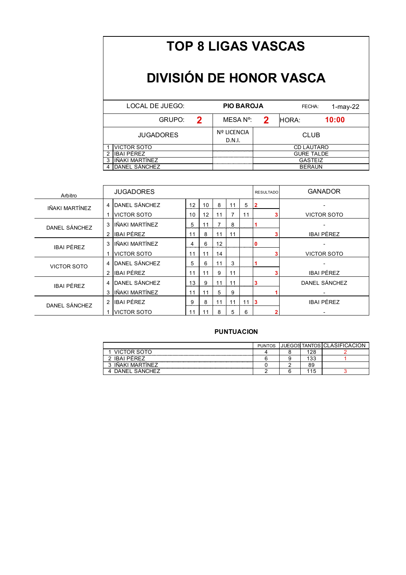### **DIVISIÓN DE HONOR VASCA**

| LOCAL DE JUEGO:    |   | <b>PIO BAROJA</b>            |             |  |       | $1$ -may-22<br>FECHA: |  |
|--------------------|---|------------------------------|-------------|--|-------|-----------------------|--|
| GRUPO:             | 2 | MESA N°:                     | 2           |  | HORA: | 10:00                 |  |
| <b>JUGADORES</b>   |   | <b>Nº LICENCIA</b><br>D.N.I. | <b>CLUB</b> |  |       |                       |  |
| <b>VICTOR SOTO</b> |   |                              |             |  |       | <b>CD LAUTARO</b>     |  |
| IBAI PÉREZ         |   | <b>GURE TALDE</b>            |             |  |       |                       |  |
| IÑAKI MARTÍNEZ     |   | <b>GASTEIZ</b>               |             |  |       |                       |  |
| DANEL SÁNCHEZ      |   | <b>BERAUN</b>                |             |  |       |                       |  |

| Arbitro           |                | <b>JUGADORES</b>   |               |    |    |                |    | <b>RESULTADO</b> | <b>GANADOR</b>     |
|-------------------|----------------|--------------------|---------------|----|----|----------------|----|------------------|--------------------|
| IÑAKI MARTÍNEZ    | 4              | DANEL SÁNCHEZ      | 12<br>annon a | 10 | 8  | 11             | 5  |                  |                    |
|                   |                | <b>VICTOR SOTO</b> | 10            | 12 | 11 | $\overline{7}$ | 11 |                  | <b>VICTOR SOTO</b> |
| DANEL SÁNCHEZ     | 3              | IÑAKI MARTÍNEZ     | 5             | 11 |    | 8              |    |                  |                    |
|                   | 2              | <b>IBAI PÉREZ</b>  | 11            | 8  | 11 | 11             |    |                  | <b>IBAI PÉREZ</b>  |
| <b>IBAI PÉREZ</b> | 3              | IÑAKI MARTÍNEZ     | 4             | 6  | 12 |                |    |                  |                    |
|                   |                | <b>VICTOR SOTO</b> | 11            | 11 | 14 |                |    |                  | VICTOR SOTO        |
| VICTOR SOTO       | 4              | DANEL SÁNCHEZ      | 5             | 6  | 11 | 3              |    |                  |                    |
|                   | 2              | <b>IBAI PÉREZ</b>  | 11            | 11 | 9  | 11             |    |                  | <b>IBAI PÉREZ</b>  |
| <b>IBAI PÉREZ</b> |                | DANEL SÁNCHEZ      | 13            | 9  | 11 | 11             |    |                  | DANEL SÁNCHEZ      |
|                   | 3              | IÑAKI MARTÍNEZ     | 11            | 11 | 5  | 9              |    |                  |                    |
| DANEL SÁNCHEZ     | $\overline{2}$ | <b>IBAI PÉREZ</b>  | 9             | 8  | 11 | 11             | 11 |                  | <b>IBAI PÉREZ</b>  |
|                   |                | <b>VICTOR SOTO</b> | 11            | 11 | 8  | 5              | 6  |                  |                    |

|                                                                                           | <b>PUNTOS</b> |          | JUEGOS TANTOS CLASIFICACIO |
|-------------------------------------------------------------------------------------------|---------------|----------|----------------------------|
| VICTOR<br>Looseway.com/www.com/www.com/www.com/www.com/www.com/www.com/www.com/www.com/ww |               |          |                            |
| IBAI PÉREZ                                                                                |               | ີ        |                            |
| MARTINEZ<br><b>INAKI</b>                                                                  |               | 89       |                            |
| )AN⊢`                                                                                     |               | <b>.</b> |                            |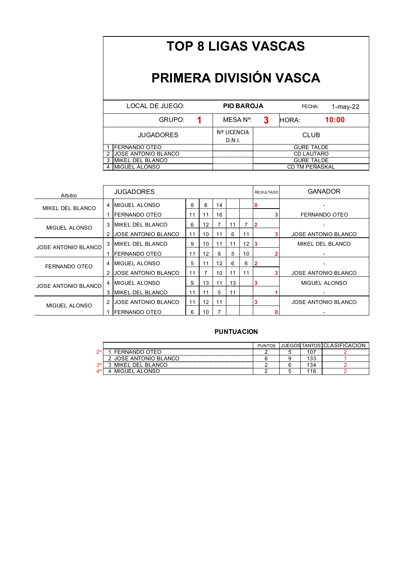#### **PRIMERA DIVISIÓN VASCA**

| LOCAL DE JUEGO:            |                        | <b>PIO BAROJA</b>            |                   |  | 1-may-22<br>FECHA: |  |  |
|----------------------------|------------------------|------------------------------|-------------------|--|--------------------|--|--|
| GRUPO:                     | 3<br>MESA N°:<br>HORA: |                              |                   |  | 10:00              |  |  |
| <b>JUGADORES</b>           |                        | <b>Nº LICENCIA</b><br>D.N.I. | <b>CLUB</b>       |  |                    |  |  |
| <b>IFERNANDO OTEO</b>      |                        |                              |                   |  | <b>GURE TALDE</b>  |  |  |
| <b>JOSE ANTONIO BLANCO</b> |                        |                              | <b>CD LAUTARO</b> |  |                    |  |  |
| <b>MIKEL DEL BLANCO</b>    |                        |                              | <b>GURE TALDE</b> |  |                    |  |  |
| <b>IMIGUEL ALONSO</b>      |                        |                              | CD TM PEÑASKAL    |  |                    |  |  |

| Arbitro                    | <b>JUGADORES</b> |                            |    |    |    |    |    | <b>RESULTADO</b> | <b>GANADOR</b>             |
|----------------------------|------------------|----------------------------|----|----|----|----|----|------------------|----------------------------|
| MIKEL DEL BLANCO           | 4                | <b>IMIGUEL ALONSO</b>      | 8  | 8  | 14 |    |    |                  |                            |
|                            |                  | FERNANDO OTEO              | 11 | 11 | 16 |    |    |                  | FERNANDO OTEO              |
| MIGUEL ALONSO              | 3                | <b>MIKEL DEL BLANCO</b>    | 6  | 12 |    | 11 |    |                  |                            |
|                            | 2                | <b>JOSE ANTONIO BLANCO</b> | 11 | 10 | 11 | 6  | 11 |                  | <b>JOSE ANTONIO BLANCO</b> |
| JOSE ANTONIO BLANCO        |                  | <b>IMIKEL DEL BLANCO</b>   | 9  | 10 | 11 | 11 | 12 |                  | MIKEL DEL BLANCO           |
|                            |                  | FERNANDO OTEO              | 11 | 12 | 8  | 5  | 10 |                  |                            |
| FERNANDO OTEO              | 4                | <b>IMIGUEL ALONSO</b>      | 5  | 11 | 12 | 6  | 6  |                  |                            |
|                            | 2                | <b>JOSE ANTONIO BLANCO</b> | 11 | 7  | 10 | 11 | 11 |                  | <b>JOSE ANTONIO BLANCO</b> |
| <b>JOSE ANTONIO BLANCO</b> | 4                | <b>MIGUEL ALONSO</b>       | 9  | 13 | 11 | 13 |    |                  | MIGUEL ALONSO              |
|                            | 3                | <b>IMIKEL DEL BLANCO</b>   | 11 | 11 | 5  | 11 |    |                  |                            |
| MIGUEL ALONSO              | $\overline{2}$   | <b>JOSE ANTONIO BLANCO</b> | 11 | 12 | 11 |    |    |                  | <b>JOSE ANTONIO BLANCO</b> |
|                            |                  | FERNANDO OTEO              | 6  | 10 |    |    |    |                  |                            |

|           |                     | <b>PUNTOS</b> |              | JUEGOS TANTOS CLASIFICAC. |
|-----------|---------------------|---------------|--------------|---------------------------|
| ▵         | FERNANDO OTEO       |               | $\mathbf{u}$ |                           |
|           | OSE ANTONIO BLANCO  |               | $\sim$<br>ີ  |                           |
| -20.<br>v | DEL BLANCO<br>MIKEL |               | $\sim$       |                           |
|           | MIGUEL<br>AI        |               | ี            |                           |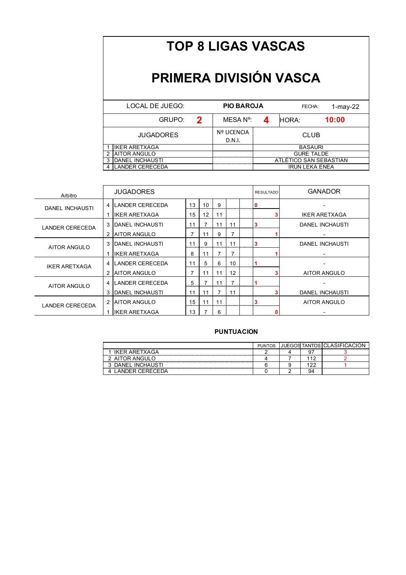#### **PRIMERA DIVISIÓN VASCA**

| LOCAL DE JUEGO:        |   | <b>PIO BAROJA</b>            |                        | 1-may-22<br>FECHA: |  |  |  |  |  |
|------------------------|---|------------------------------|------------------------|--------------------|--|--|--|--|--|
| GRUPO:                 | 2 | MESA N°:                     |                        | 10:00              |  |  |  |  |  |
| <b>JUGADORES</b>       |   | <b>Nº LICENCIA</b><br>D.N.I. |                        | <b>CLUB</b>        |  |  |  |  |  |
| <b>IKER ARETXAGA</b>   |   |                              |                        | <b>BASAURI</b>     |  |  |  |  |  |
| <b>AITOR ANGULO</b>    |   |                              | <b>GURE TALDE</b>      |                    |  |  |  |  |  |
| <b>DANEL INCHAUSTI</b> |   |                              | ATLÉTICO SAN SEBASTIÁN |                    |  |  |  |  |  |
| <b>LANDER CERECEDA</b> |   |                              | <b>IRUN LEKA ENEA</b>  |                    |  |  |  |  |  |

| Arbitro                |   | <b>JUGADORES</b>        |    | <b>RESULTADO</b>  | <b>GANADOR</b> |    |  |                        |
|------------------------|---|-------------------------|----|-------------------|----------------|----|--|------------------------|
| DANEL INCHAUSTI        | 4 | <b>ILANDER CERECEDA</b> | 13 | 10                | 9              |    |  |                        |
|                        |   | <b>IKER ARETXAGA</b>    | 15 | $12 \overline{ }$ | 11             |    |  | <b>IKER ARETXAGA</b>   |
| <b>LANDER CERECEDA</b> | 3 | <b>IDANEL INCHAUSTI</b> | 11 | 7                 | 11             | 11 |  | DANEL INCHAUSTI        |
|                        | 2 | <b>AITOR ANGULO</b>     |    | 11                | 9              |    |  |                        |
| AITOR ANGULO           | 3 | <b>IDANEL INCHAUSTI</b> | 11 | 9                 | 11             | 11 |  | DANEL INCHAUSTI        |
|                        |   | <b>IKER ARETXAGA</b>    | 8  | 11                |                |    |  |                        |
| <b>IKER ARETXAGA</b>   | 4 | LANDER CERECEDA         | 11 | 5                 | 6              | 10 |  |                        |
|                        | 2 | <b>AITOR ANGULO</b>     | 7  | 11                | 11             | 12 |  | AITOR ANGULO           |
| AITOR ANGULO           | 4 | LANDER CERECEDA         | 5  |                   | 11             |    |  |                        |
|                        | 3 | DANEL INCHAUSTI         | 11 | 11                |                | 11 |  | <b>DANEL INCHAUSTI</b> |
| LANDER CERECEDA        | 2 | <b>AITOR ANGULO</b>     | 15 | 11                | 11             |    |  | AITOR ANGULO           |
|                        |   | <b>IIKER ARETXAGA</b>   | 13 |                   | 6              |    |  |                        |

|                          | <b>PUNTOS</b> |    | <b>JUEGOS TANTOS CLASIFICAC</b> |
|--------------------------|---------------|----|---------------------------------|
| <b>IKER ARETXAGA</b>     |               |    |                                 |
| <b>AITOR ANGUL</b>       |               |    |                                 |
| <b>DANEL INCHAUSTI</b>   |               |    |                                 |
| <b>JER CERECE</b><br>ANI |               | 94 |                                 |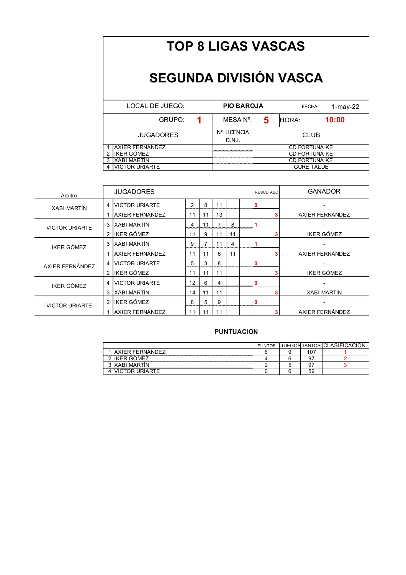#### **SEGUNDA DIVISIÓN VASCA**

| LOCAL DE JUEGO:  | <b>PIO BAROJA</b>            |                      | FECHA:      | 1-may-22 |  |  |  |
|------------------|------------------------------|----------------------|-------------|----------|--|--|--|
| GRUPO:           | MESA N°:                     | 5                    | HORA:       | 10:00    |  |  |  |
| <b>JUGADORES</b> | <b>Nº LICENCIA</b><br>D.N.I. |                      | <b>CLUB</b> |          |  |  |  |
| AXIER FERNÁNDEZ  |                              | <b>CD FORTUNA KE</b> |             |          |  |  |  |
| IKER GÓMEZ       |                              | <b>CD FORTUNA KE</b> |             |          |  |  |  |
| XABI MARTÍN      |                              | <b>CD FORTUNA KE</b> |             |          |  |  |  |
| VICTOR URIARTE   |                              | <b>GURE TALDE</b>    |             |          |  |  |  |

| Arbitro               |   | <b>JUGADORES</b>      |                |    | <b>RESULTADO</b> | <b>GANADOR</b> |  |                    |
|-----------------------|---|-----------------------|----------------|----|------------------|----------------|--|--------------------|
| <b>XABI MARTÍN</b>    | 4 | <b>VICTOR URIARTE</b> | $\overline{2}$ | 8  | 11               |                |  |                    |
|                       |   | AXIER FERNÁNDEZ       | 11             | 11 | 13               |                |  | AXIER FERNÁNDEZ    |
| <b>VICTOR URIARTE</b> | 3 | <b>XABI MARTÍN</b>    | 4              | 11 | 7                | 8              |  |                    |
|                       | 2 | <b>IKER GÓMEZ</b>     | 11             | 9  | 11               | 11             |  | <b>IKER GÓMEZ</b>  |
| <b>IKER GÓMEZ</b>     | 3 | <b>XABI MARTÍN</b>    | 9              | 7  | 11               | 4              |  |                    |
|                       |   | AXIER FERNÁNDEZ       | 11             | 11 | 6                | 11             |  | AXIER FERNÁNDEZ    |
| AXIER FERNÁNDEZ       | 4 | <b>VICTOR URIARTE</b> | 5              | 3  | 8                |                |  |                    |
|                       |   | 2 IKER GÓMEZ          | 11             | 11 | 11               |                |  | <b>IKER GÓMEZ</b>  |
| IKER GÓMEZ            | 4 | <b>VICTOR URIARTE</b> | 12             | 6  | 4                |                |  |                    |
|                       | 3 | <b>XABI MARTÍN</b>    | 14             | 11 | 11               |                |  | <b>XABI MARTÍN</b> |
| <b>VICTOR URIARTE</b> | 2 | IKER GÓMEZ            | 8              | 5  | 9                |                |  |                    |
|                       |   | AXIER FERNÁNDEZ       | 11             | 11 | 11               |                |  | AXIER FERNÁNDEZ    |

|                 | <b>PUNTOS</b> |    | JUEGOS TANTOS CLASIFICACIO |
|-----------------|---------------|----|----------------------------|
| AXIER FERNANDEZ |               |    |                            |
| IKER GÓMEZ      |               |    |                            |
| 3 XABI MARTÍN   |               |    |                            |
| <b>JRIARTF</b>  |               | 59 |                            |